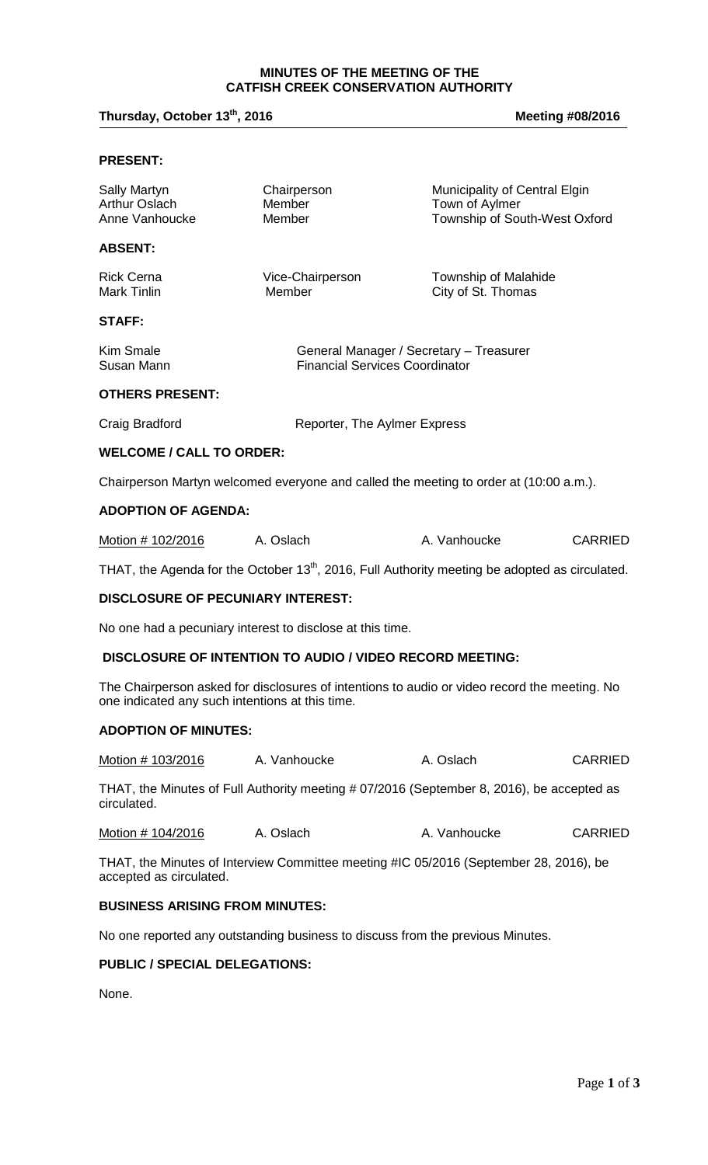## **MINUTES OF THE MEETING OF THE CATFISH CREEK CONSERVATION AUTHORITY**

# Thursday, October 13<sup>th</sup>, 2016

**, 2016 Meeting #08/2016**

### **PRESENT:**

| Sally Martyn<br><b>Arthur Oslach</b><br>Anne Vanhoucke | Chairperson<br>Member<br>Member                                                                            | Municipality of Central Elgin<br>Town of Aylmer<br>Township of South-West Oxford |                |
|--------------------------------------------------------|------------------------------------------------------------------------------------------------------------|----------------------------------------------------------------------------------|----------------|
| <b>ABSENT:</b>                                         |                                                                                                            |                                                                                  |                |
| <b>Rick Cerna</b><br>Mark Tinlin                       | Vice-Chairperson<br>Member                                                                                 | Township of Malahide<br>City of St. Thomas                                       |                |
| STAFF:                                                 |                                                                                                            |                                                                                  |                |
| Kim Smale<br>Susan Mann                                | General Manager / Secretary - Treasurer<br><b>Financial Services Coordinator</b>                           |                                                                                  |                |
| <b>OTHERS PRESENT:</b>                                 |                                                                                                            |                                                                                  |                |
| Craig Bradford                                         | Reporter, The Aylmer Express                                                                               |                                                                                  |                |
| <b>WELCOME / CALL TO ORDER:</b>                        |                                                                                                            |                                                                                  |                |
|                                                        | Chairperson Martyn welcomed everyone and called the meeting to order at (10:00 a.m.).                      |                                                                                  |                |
| <b>ADOPTION OF AGENDA:</b>                             |                                                                                                            |                                                                                  |                |
| Motion # 102/2016                                      | A. Oslach                                                                                                  | A. Vanhoucke                                                                     | <b>CARRIED</b> |
|                                                        | THAT, the Agenda for the October 13 <sup>th</sup> , 2016, Full Authority meeting be adopted as circulated. |                                                                                  |                |

#### **DISCLOSURE OF PECUNIARY INTEREST:**

No one had a pecuniary interest to disclose at this time.

### **DISCLOSURE OF INTENTION TO AUDIO / VIDEO RECORD MEETING:**

The Chairperson asked for disclosures of intentions to audio or video record the meeting. No one indicated any such intentions at this time.

#### **ADOPTION OF MINUTES:**

| Motion # 103/2016 | A. Vanhoucke | A. Oslach | <b>CARRIED</b> |
|-------------------|--------------|-----------|----------------|
|-------------------|--------------|-----------|----------------|

THAT, the Minutes of Full Authority meeting # 07/2016 (September 8, 2016), be accepted as circulated.

| Motion # 104/2016 | A. Oslach | A. Vanhoucke | <b>CARRIED</b> |
|-------------------|-----------|--------------|----------------|
|-------------------|-----------|--------------|----------------|

THAT, the Minutes of Interview Committee meeting #IC 05/2016 (September 28, 2016), be accepted as circulated.

## **BUSINESS ARISING FROM MINUTES:**

No one reported any outstanding business to discuss from the previous Minutes.

## **PUBLIC / SPECIAL DELEGATIONS:**

None.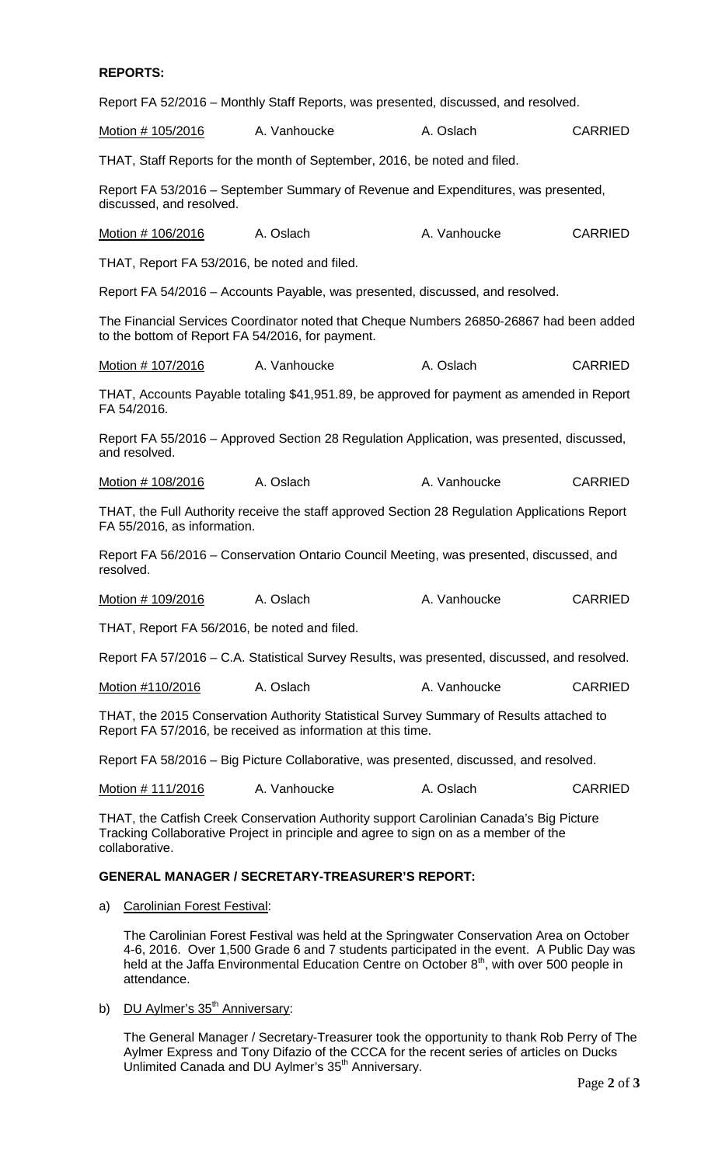#### **REPORTS:**

Report FA 52/2016 – Monthly Staff Reports, was presented, discussed, and resolved.

Motion # 105/2016 A. Vanhoucke A. Oslach CARRIED

THAT, Staff Reports for the month of September, 2016, be noted and filed.

Report FA 53/2016 – September Summary of Revenue and Expenditures, was presented, discussed, and resolved.

Motion # 106/2016 A. Oslach A. Vanhoucke CARRIED

THAT, Report FA 53/2016, be noted and filed.

Report FA 54/2016 – Accounts Payable, was presented, discussed, and resolved.

The Financial Services Coordinator noted that Cheque Numbers 26850-26867 had been added to the bottom of Report FA 54/2016, for payment.

Motion # 107/2016 A. Vanhoucke A. Oslach CARRIED

THAT, Accounts Payable totaling \$41,951.89, be approved for payment as amended in Report FA 54/2016.

Report FA 55/2016 – Approved Section 28 Regulation Application, was presented, discussed, and resolved.

Motion # 108/2016 A. Oslach A. Vanhoucke CARRIED

THAT, the Full Authority receive the staff approved Section 28 Regulation Applications Report FA 55/2016, as information.

Report FA 56/2016 – Conservation Ontario Council Meeting, was presented, discussed, and resolved.

Motion # 109/2016 A. Oslach A. Vanhoucke CARRIED

THAT, Report FA 56/2016, be noted and filed.

Report FA 57/2016 – C.A. Statistical Survey Results, was presented, discussed, and resolved.

Motion #110/2016 A. Oslach A. Vanhoucke CARRIED

THAT, the 2015 Conservation Authority Statistical Survey Summary of Results attached to Report FA 57/2016, be received as information at this time.

Report FA 58/2016 – Big Picture Collaborative, was presented, discussed, and resolved.

Motion # 111/2016 A. Vanhoucke A. Oslach CARRIED

THAT, the Catfish Creek Conservation Authority support Carolinian Canada's Big Picture Tracking Collaborative Project in principle and agree to sign on as a member of the collaborative.

#### **GENERAL MANAGER / SECRETARY-TREASURER'S REPORT:**

a) Carolinian Forest Festival:

The Carolinian Forest Festival was held at the Springwater Conservation Area on October 4-6, 2016. Over 1,500 Grade 6 and 7 students participated in the event. A Public Day was held at the Jaffa Environmental Education Centre on October  $8<sup>th</sup>$ , with over 500 people in attendance.

b) DU Aylmer's 35<sup>th</sup> Anniversary:

The General Manager / Secretary-Treasurer took the opportunity to thank Rob Perry of The Aylmer Express and Tony Difazio of the CCCA for the recent series of articles on Ducks Unlimited Canada and DU Aylmer's 35<sup>th</sup> Anniversary.